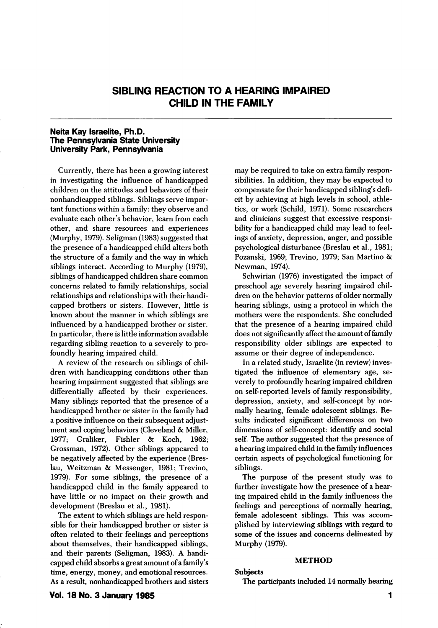# SIBLING REACTION TO A HEARING IMPAIRED CHILD IN THE FAMILY

#### Neita Kay Israelite, Ph.D. The Pennsylvania State University University Park, Pennsylvania

Currently, there has been a growing interest in investigating the influence of handicapped children on the attitudes and behaviors of their nonhandicapped siblings. Siblings serve impor tant functions within a family: they observe and evaluate each other's behavior, leam from each other, and share resources and experiences (Murphy, 1979). Seligman (1983) suggested that the presence of a handicapped child alters both the structure of a family and the way in which siblings interact. According to Murphy (1979), siblings of handicapped children share common concerns related to family relationships, social relationships and relationships with their handi capped brothers or sisters. However, little is known about the manner in which siblings are influenced by a handicapped brother or sister. In particular, there is little information available regarding sibling reaction to a severely to pro foundly hearing impaired child.

A review of the research on siblings of chil dren with handicapping conditions other than hearing impairment suggested that siblings are differentially affected by their experiences. Many siblings reported that the presence of a handicapped brother or sister in the family had a positive influence on their subsequent adjust ment and coping behaviors (Cleveland & Miller, 1977; Graliker, Fishler & Koch, 1962; Fishler & Koch, 1962; Grossman, 1972). Other siblings appeared to be negatively affected by the experience (Breslau, Weitzman & Messenger, 1981; Trevino, 1979). For some siblings, the presence of a handicapped child in the family appeared to have little or no impact on their growth and development (Breslau et al., 1981).

The extent to which siblings are held respon sible for their handicapped brother or sister is often related to their feelings and perceptions about themselves, their handicapped siblings, and their parents (Seligman, 1983). A handi capped child absorbs a great amount of a family's time, energy, money, and emotional resources. As a result, nonhandicapped brothers and sisters may be required to take on extra family respon sibilities. In addition, they may be expected to compensate for their handicapped sibling's defi cit by achieving at high levels in school, athle tics, or work (Schild, 1971). Some researchers and clinicians suggest that excessive responsi bility for a handicapped child may lead to feel ings of anxiety, depression, anger, and possible psychological disturbance (Breslau et al., 1981; Pozanski, 1969; Trevino, 1979; San Martino & Newman, 1974).

Schwirian (1976) investigated the impact of preschool age severely hearing impaired chil dren on the behavior patterns of older normally hearing siblings, using a protocol in which the mothers were the respondents. She concluded that the presence of a hearing impaired child does not significantly affect the amount of family responsibility older siblings are expected to assume or their degree of independence.

In a related study, Israelite (in review) inves tigated the influence of elementary age, se verely to profoundly hearing impaired children on self-reported levels of family responsibility, depression, anxiety, and self-concept by nor mally hearing, female adolescent siblings. Re sults indicated significant differences on two dimensions of self-concept: identify and social self. The author suggested that the presence of a hearing impaired child in the family influences certain aspects of psychological functioning for siblings.

The purpose of the present study was to further investigate how the presence of a hear ing impaired child in the family influences the feelings and perceptions of normally hearing, female adolescent siblings. This was accom plished by interviewing siblings with regard to some of the issues and concerns delineated by Murphy (1979).

#### METHOD

#### Subjects

The participants included 14 normally hearing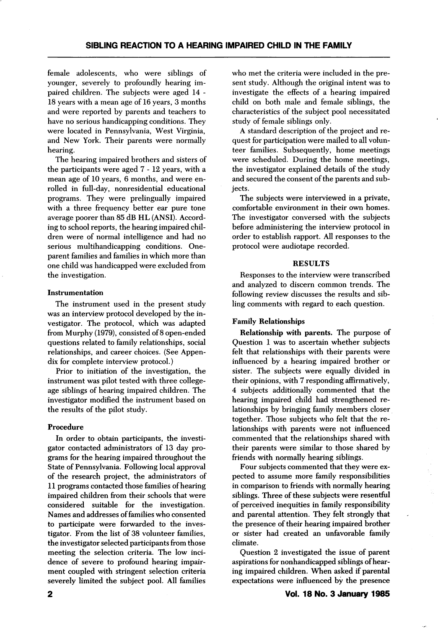female adolescents, who were siblings of younger, severely to profoundly hearing im paired children. The subjects were aged 14 - 18 years with a mean age of 16 years, 3 months and were reported by parents and teachers to have no serious handicapping conditions. They were located in Pennsylvania, West Virginia, and New York. Their parents were normally hearing.

The hearing impaired brothers and sisters of the participants were aged 7-12 years, with a mean age of 10 years, 6 months, and were en rolled in full-day, nonresidential educational programs. They were prelingually impaired with a three frequency better ear pure tone average poorer than 85 dB HL (ANSI). Accord ing to school reports, the hearing impaired chil dren were of normal intelligence and had no serious multihandicapping conditions. Oneparent families and families in which more than one child was handicapped were excluded from the investigation.

### Instrumentation

The instrument used in the present study was an interview protocol developed by the in vestigator. The protocol, which was adapted from Murphy (1979), consisted of 8 open-ended questions related to family relationships, social relationships, and career choices. (See Appen dix for complete interview protocol.)

Prior to initiation of the investigation, the instrument was pilot tested with three collegeage siblings of hearing impaired children. The investigator modified the instrument based on the results of the pilot study.

# Procedure

In order to obtain participants, the investi gator contacted administrators of 13 day pro grams for the hearing impaired throughout the State of Pennsylvania. Following local approval of the research project, the administrators of 11 programs contacted those families of hearing impaired children from their schools that were considered suitable for the investigation. Names and addresses of families who consented to participate were forwarded to the inves tigator. From the list of 38 volunteer families, the investigator selected participants from those meeting the selection criteria. The low inci dence of severe to profound hearing impair ment coupled with stringent selection criteria severely limited the subject pool. All families

who met the criteria were included in the pre sent study. Although the original intent was to investigate the effects of a hearing impaired child on both male and female siblings, the characteristics of the subject pool necessitated study of female siblings only.

A standard description of the project and re quest for participation were mailed to all volunteer families. Subsequently, home meetings were scheduled. During the home meetings, the investigator explained details of the study and secured the consent of the parents and sub jects.

The subjects were interviewed in a private, comfortable environment in their own homes. The investigator conversed with the subjects before administering the interview protocol in order to establish rapport. All responses to the protocol were audiotape recorded.

## RESULTS

Responses to the interview were transcribed and analyzed to discern common trends. The following review discusses the results and sib ling comments with regard to each question.

# Family Relationships

Relationship with parents. The purpose of Question 1 was to ascertain whether subjects felt that relationships with their parents were influenced by a hearing impaired brother or sister. The subjects were equally divided in their opinions, with 7 responding affirmatively, 4 subjects additionally commented that the hearing impaired child had strengthened re lationships by bringing family members closer together. Those subjects who felt that the re lationships with parents were not influenced commented that the relationships shared with their parents were similar to those shared by friends with normally hearing siblings.

Four subjects commented that they were ex pected to assume more family responsibilities in comparison to friends with normally hearing siblings. Three of these subjects were resentful of perceived inequities in family responsibility and parental attention. They felt strongly that the presence of their hearing impaired brother or sister had created an unfavorable family climate.

Question 2 investigated the issue of parent aspirations for nonhandicapped siblings of hear ing impaired children. When asked if parental expectations were influenced by the presence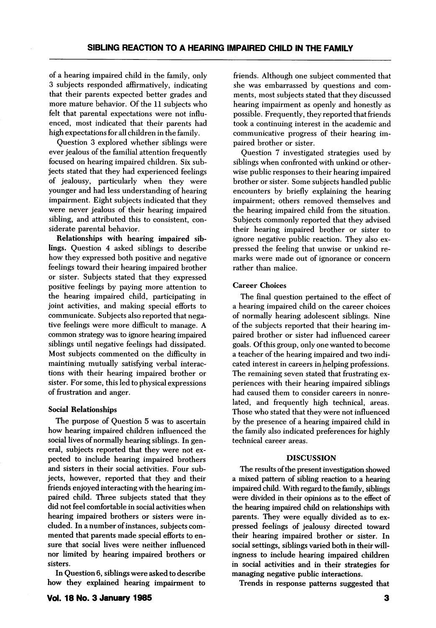of a hearing impaired child in the family, only 3 subjects responded affirmatively, indicating that their parents expected better grades and more mature behavior. Of the 11 subjects who felt that parental expectations were not influ enced, most indicated that their parents had high expectations for all children in the family.

Question 3 explored whether siblings were ever jealous of the familial attention frequently focused on hearing impaired children. Six sub jects stated that they had experienced feelings of jealousy, particularly when they were younger and had less understanding of hearing impairment. Eight subjects indicated that they were never jealous of their hearing impaired sibling, and attributed this to consistent, con siderate parental behavior.

Relationships with hearing impaired sib lings. Question 4 asked siblings to describe how they expressed both positive and negative feelings toward their hearing impaired brother or sister. Subjects stated that they expressed positive feelings by paying more attention to the hearing impaired child, participating in joint activities, and making special efforts to communicate. Subjects also reported that nega tive feelings were more difficult to manage. A common strategy was to ignore hearing impaired siblings until negative feelings had dissipated. Most subjects commented on the difficulty in maintining mutually satisfying verbal interac tions with their hearing impaired brother or sister. For some, this led to physical expressions of frustration and anger.

#### Social Relationships

The purpose of Question 5 was to ascertain how hearing impaired children influenced the social lives of normally hearing siblings. In gen eral, subjects reported that they were not ex pected to include hearing impaired brothers and sisters in their social activities. Four sub jects, however, reported that they and their friends enjoyed interacting with the hearing im paired child. Three subjects stated that they did not feel comfortable in social activities when hearing impaired brothers or sisters were in cluded. In a number of instances, subjects com mented that parents made special efforts to en sure that social lives were neither influenced nor limited by hearing impaired brothers or sisters.

In Question 6, siblings were asked to describe how they explained hearing impairment to

friends. Although one subject commented that she was embarrassed by questions and com ments, most subjects stated that they discussed hearing impairment as openly and honestly as possible. Frequently, they reported that friends took a continuing interest in the academic and communicative progress of their hearing im paired brother or sister.

Question 7 investigated strategies used by siblings when confronted with unkind or other wise public responses to their hearing impaired brother or sister. Some subjects handled public encounters by briefly explaining the hearing impairment; others removed themselves and the hearing impaired child from the situation. Subjects commonly reported that they advised their hearing impaired brother or sister to ignore negative public reaction. They also ex pressed the feeling that unwise or unkind re marks were made out of ignorance or concern rather than malice.

#### Career Choices

The final question pertained to the effect of a hearing impaired child on the career choices of normally hearing adolescent siblings. Nine of the subjects reported that their hearing im paired brother or sister had influenced career goals. Of this group, only one wanted to become a teacher of the hearing impaired and two indi cated interest in careers injhelping professions. The remaining seven stated that frustrating ex periences with their hearing impaired siblings had caused them to consider careers in nonrelated, and frequently high technical, areas. Those who stated that they were not influenced by the presence of a hearing impaired child in the family also indicated preferences for highly technical career areas.

#### **DISCUSSION**

The results of the present investigation showed a mixed pattern of sibling reaction to a hearing impaired child. With regard to the family, siblings were divided in their opinions as to the effect of the hearing impaired child on relationships with parents. They were equally divided as to ex pressed feelings of jealousy directed toward their hearing impaired brother or sister. In social settings, siblings varied both in their will ingness to include hearing impaired children in social activities and in their strategies for managing negative public interactions.

Trends in response patterns suggested that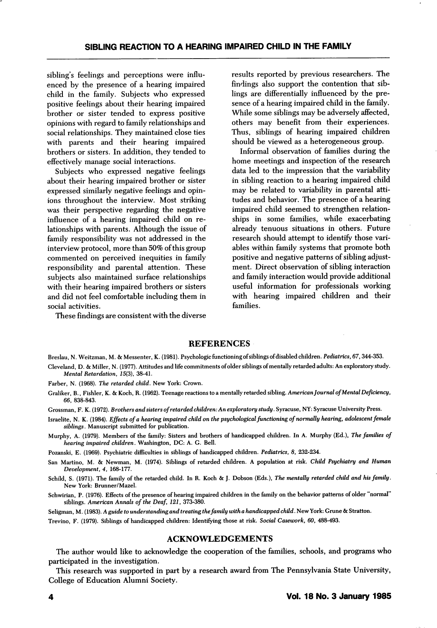sibling's feelings and perceptions were influ enced by the presence of a hearing impaired child in the family. Subjects who expressed positive feelings about their hearing impaired brother or sister tended to express positive opinions with regard to family relationships and social relationships. They maintained close ties with parents and their hearing impaired brothers or sisters. In addition, they tended to effectively manage social interactions.

Subjects who expressed negative feelings about their hearing impaired brother or sister expressed similarly negative feelings and opin ions throughout the interview. Most striking was their perspective regarding the negative influence of a hearing impaired child on re lationships with parents. Although the issue of family responsibility was not addressed in the interview protocol, more than 50% of this group commented on perceived inequities in family responsibility and parental attention. These subjects also maintained surface relationships with their hearing impaired brothers or sisters and did not feel comfortable including them in social activities.

These findings are consistent with the diverse

results reported by previous researchers. The findings also support the contention that sib lings are differentially influenced by the pre sence of a hearing impaired child in the family. While some siblings may be adversely affected, others may benefit from their experiences. Thus, siblings of hearing impaired children should be viewed as a heterogeneous group.

Informal observation of families during the home meetings and inspection of the research data led to the impression that the variability in sibling reaction to a hearing impaired child may be related to variability in parental atti tudes and behavior. The presence of a hearing impaired child seemed to strengthen relation ships in some families, while exacerbating already tenuous situations in others. Future research should attempt to identify those vari ables within family systems that promote both positive and negative patterns of sibling adjust ment. Direct observation of sibling interaction and family interaction would provide additional useful information for professionals working with hearing impaired children and their families.

#### REFERENCES

Breslau, N. Weitzman, M. & Messenter, K. (1981). Psychologic functioning ofsiblings of disabled children. Pediatrics, 67,344-353. Cleveland, D. & Miller, N. (1977). Attitudes and life commitments of older siblings of mentally retarded adults: An exploratory study.

Farber, N. (1968). The retarded child. New York: Crown.

Mental Retardation, J5(3), 38-41.

Grossman, F. K. (1972). Brothers and sisters of retarded children: An exploratory study. Syracuse, NY: Syracuse University Press.

Israelite, N. K. (1984). Effects of a hearing impaired child on the psychological functioning of normally hearing, adolescent female siblings. Manuscript submitted for publication.

Murphy, A. (1979). Members of the family: Sisters and brothers of handicapped children. In A. Murphy (Ed.), The families of hearing impaired children. Washington, DC: A. G. Bell.

Pozanski, E. (1969). Psychiatric difficulties in siblings of handicapped children. Pediatrics, 8, 232-234.

San Martino, M. & Newman, M. (1974). Siblings of retarded children. A population at risk. Child Psychiatry and Human Development, 4, 168-177.

Schild, S. (1971). The family of the retarded child. In R. Koch & J. Dobson (Eds.), The mentally retarded child and his family. New York: Brunner/Mazel.

Schwirian, P. (1976). Effects of the presence of hearing impaired children in the family on the behavior patterns of older "normal siblings. American Annals of the Deaf, 121, 373-380.

Seligman, M. (1983). A guide to understanding and treating the family with a handicapped child. New York: Grune & Stratton.

Trevino, F. (1979). Siblings of handicapped children: Identifying those at risk. Social Casework, 60, 488-493.

#### ACKNOWLEDGEMENTS

The author would like to acknowledge the cooperation of the famifies, schools, and programs who participated in the investigation.

This research was supported in part by a research award from The Pennsylvania State University, College of Education Alumni Society.

Graliker, B., Fishier, K. & Koch, R. (1962). Teenage reactions to a mentally retarded sibling. American Journal of Mental Deficiency, 66, 838-843.